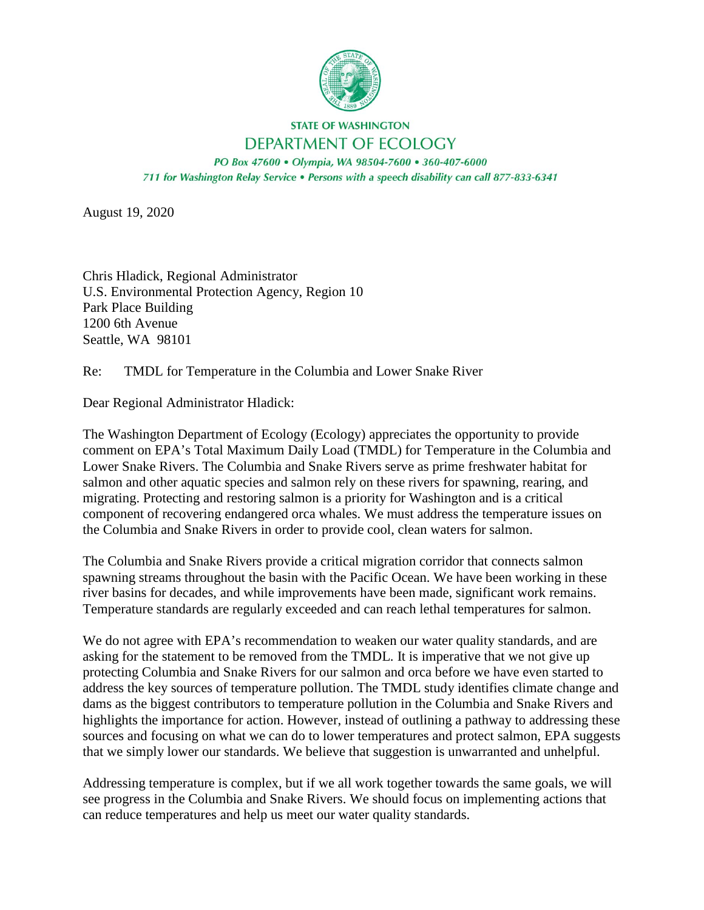

#### **STATE OF WASHINGTON** DEPARTMENT OF ECOLOGY

PO Box 47600 · Olympia, WA 98504-7600 · 360-407-6000 711 for Washington Relay Service . Persons with a speech disability can call 877-833-6341

August 19, 2020

Chris Hladick, Regional Administrator U.S. Environmental Protection Agency, Region 10 Park Place Building 1200 6th Avenue Seattle, WA 98101

Re: TMDL for Temperature in the Columbia and Lower Snake River

Dear Regional Administrator Hladick:

The Washington Department of Ecology (Ecology) appreciates the opportunity to provide comment on EPA's Total Maximum Daily Load (TMDL) for Temperature in the Columbia and Lower Snake Rivers. The Columbia and Snake Rivers serve as prime freshwater habitat for salmon and other aquatic species and salmon rely on these rivers for spawning, rearing, and migrating. Protecting and restoring salmon is a priority for Washington and is a critical component of recovering endangered orca whales. We must address the temperature issues on the Columbia and Snake Rivers in order to provide cool, clean waters for salmon.

The Columbia and Snake Rivers provide a critical migration corridor that connects salmon spawning streams throughout the basin with the Pacific Ocean. We have been working in these river basins for decades, and while improvements have been made, significant work remains. Temperature standards are regularly exceeded and can reach lethal temperatures for salmon.

We do not agree with EPA's recommendation to weaken our water quality standards, and are asking for the statement to be removed from the TMDL. It is imperative that we not give up protecting Columbia and Snake Rivers for our salmon and orca before we have even started to address the key sources of temperature pollution. The TMDL study identifies climate change and dams as the biggest contributors to temperature pollution in the Columbia and Snake Rivers and highlights the importance for action. However, instead of outlining a pathway to addressing these sources and focusing on what we can do to lower temperatures and protect salmon, EPA suggests that we simply lower our standards. We believe that suggestion is unwarranted and unhelpful.

Addressing temperature is complex, but if we all work together towards the same goals, we will see progress in the Columbia and Snake Rivers. We should focus on implementing actions that can reduce temperatures and help us meet our water quality standards.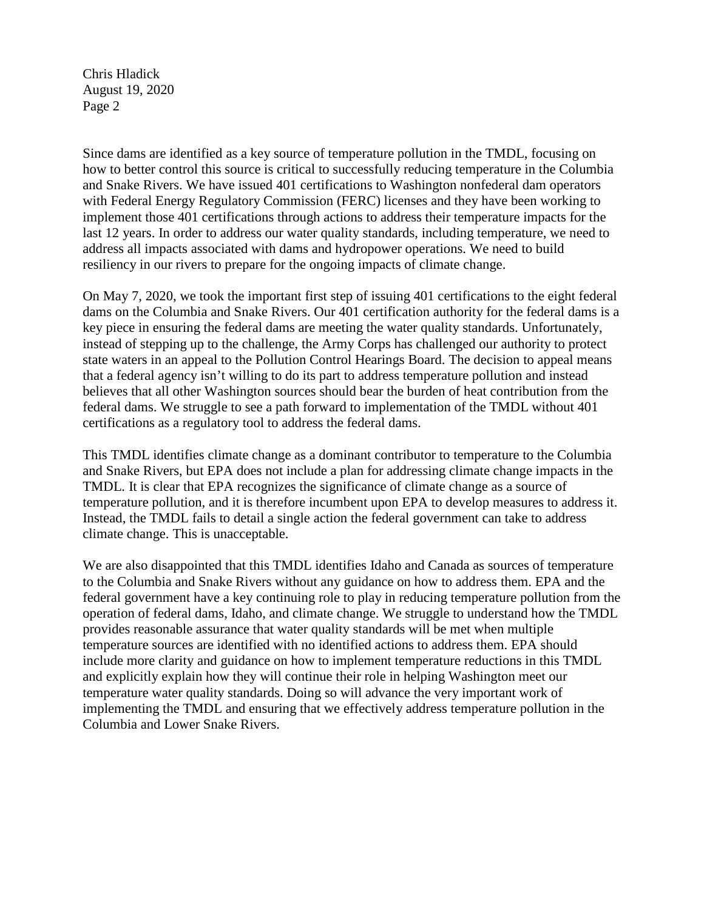Chris Hladick August 19, 2020 Page 2

Since dams are identified as a key source of temperature pollution in the TMDL, focusing on how to better control this source is critical to successfully reducing temperature in the Columbia and Snake Rivers. We have issued 401 certifications to Washington nonfederal dam operators with Federal Energy Regulatory Commission (FERC) licenses and they have been working to implement those 401 certifications through actions to address their temperature impacts for the last 12 years. In order to address our water quality standards, including temperature, we need to address all impacts associated with dams and hydropower operations. We need to build resiliency in our rivers to prepare for the ongoing impacts of climate change.

On May 7, 2020, we took the important first step of issuing 401 certifications to the eight federal dams on the Columbia and Snake Rivers. Our 401 certification authority for the federal dams is a key piece in ensuring the federal dams are meeting the water quality standards. Unfortunately, instead of stepping up to the challenge, the Army Corps has challenged our authority to protect state waters in an appeal to the Pollution Control Hearings Board. The decision to appeal means that a federal agency isn't willing to do its part to address temperature pollution and instead believes that all other Washington sources should bear the burden of heat contribution from the federal dams. We struggle to see a path forward to implementation of the TMDL without 401 certifications as a regulatory tool to address the federal dams.

This TMDL identifies climate change as a dominant contributor to temperature to the Columbia and Snake Rivers, but EPA does not include a plan for addressing climate change impacts in the TMDL. It is clear that EPA recognizes the significance of climate change as a source of temperature pollution, and it is therefore incumbent upon EPA to develop measures to address it. Instead, the TMDL fails to detail a single action the federal government can take to address climate change. This is unacceptable.

We are also disappointed that this TMDL identifies Idaho and Canada as sources of temperature to the Columbia and Snake Rivers without any guidance on how to address them. EPA and the federal government have a key continuing role to play in reducing temperature pollution from the operation of federal dams, Idaho, and climate change. We struggle to understand how the TMDL provides reasonable assurance that water quality standards will be met when multiple temperature sources are identified with no identified actions to address them. EPA should include more clarity and guidance on how to implement temperature reductions in this TMDL and explicitly explain how they will continue their role in helping Washington meet our temperature water quality standards. Doing so will advance the very important work of implementing the TMDL and ensuring that we effectively address temperature pollution in the Columbia and Lower Snake Rivers.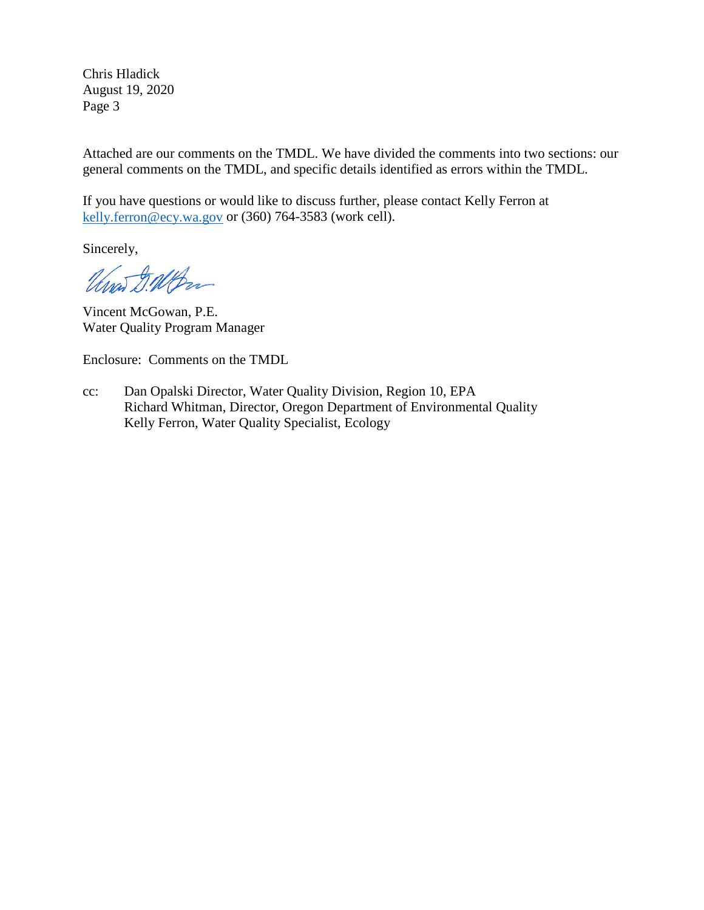Chris Hladick August 19, 2020 Page 3

Attached are our comments on the TMDL. We have divided the comments into two sections: our general comments on the TMDL, and specific details identified as errors within the TMDL.

If you have questions or would like to discuss further, please contact Kelly Ferron at [kelly.ferron@ecy.wa.gov](mailto:kelly.ferron@ecy.wa.gov) or (360) 764-3583 (work cell).

Sincerely,

Unas D. W. Bra

Vincent McGowan, P.E. Water Quality Program Manager

Enclosure: Comments on the TMDL

cc: Dan Opalski Director, Water Quality Division, Region 10, EPA Richard Whitman, Director, Oregon Department of Environmental Quality Kelly Ferron, Water Quality Specialist, Ecology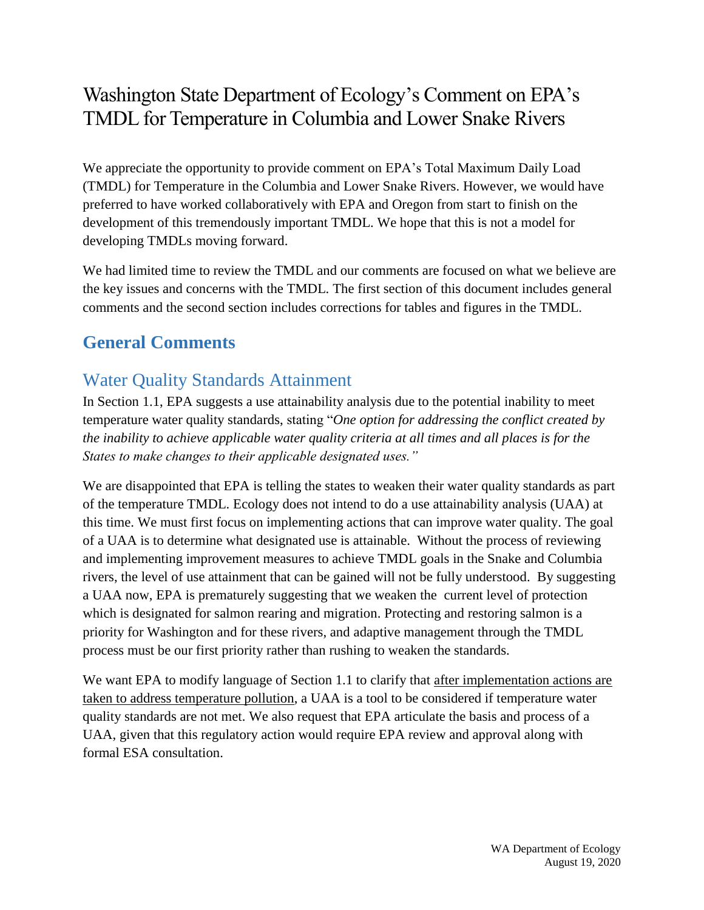# Washington State Department of Ecology's Comment on EPA's TMDL for Temperature in Columbia and Lower Snake Rivers

We appreciate the opportunity to provide comment on EPA's Total Maximum Daily Load (TMDL) for Temperature in the Columbia and Lower Snake Rivers. However, we would have preferred to have worked collaboratively with EPA and Oregon from start to finish on the development of this tremendously important TMDL. We hope that this is not a model for developing TMDLs moving forward.

We had limited time to review the TMDL and our comments are focused on what we believe are the key issues and concerns with the TMDL. The first section of this document includes general comments and the second section includes corrections for tables and figures in the TMDL.

# **General Comments**

# Water Quality Standards Attainment

In Section 1.1, EPA suggests a use attainability analysis due to the potential inability to meet temperature water quality standards, stating "*One option for addressing the conflict created by the inability to achieve applicable water quality criteria at all times and all places is for the States to make changes to their applicable designated uses."*

We are disappointed that EPA is telling the states to weaken their water quality standards as part of the temperature TMDL. Ecology does not intend to do a use attainability analysis (UAA) at this time. We must first focus on implementing actions that can improve water quality. The goal of a UAA is to determine what designated use is attainable. Without the process of reviewing and implementing improvement measures to achieve TMDL goals in the Snake and Columbia rivers, the level of use attainment that can be gained will not be fully understood. By suggesting a UAA now, EPA is prematurely suggesting that we weaken the current level of protection which is designated for salmon rearing and migration. Protecting and restoring salmon is a priority for Washington and for these rivers, and adaptive management through the TMDL process must be our first priority rather than rushing to weaken the standards.

We want EPA to modify language of Section 1.1 to clarify that after implementation actions are taken to address temperature pollution, a UAA is a tool to be considered if temperature water quality standards are not met. We also request that EPA articulate the basis and process of a UAA, given that this regulatory action would require EPA review and approval along with formal ESA consultation.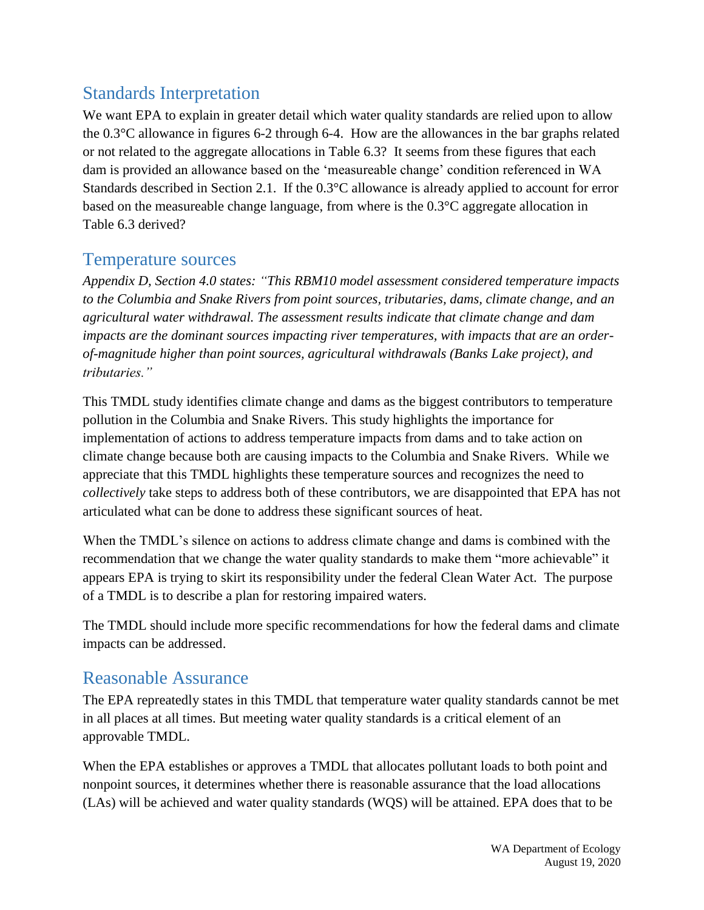## Standards Interpretation

We want EPA to explain in greater detail which water quality standards are relied upon to allow the 0.3°C allowance in figures 6-2 through 6-4. How are the allowances in the bar graphs related or not related to the aggregate allocations in Table 6.3? It seems from these figures that each dam is provided an allowance based on the 'measureable change' condition referenced in WA Standards described in Section 2.1. If the 0.3°C allowance is already applied to account for error based on the measureable change language, from where is the 0.3°C aggregate allocation in Table 6.3 derived?

### Temperature sources

*Appendix D, Section 4.0 states: "This RBM10 model assessment considered temperature impacts to the Columbia and Snake Rivers from point sources, tributaries, dams, climate change, and an agricultural water withdrawal. The assessment results indicate that climate change and dam impacts are the dominant sources impacting river temperatures, with impacts that are an orderof-magnitude higher than point sources, agricultural withdrawals (Banks Lake project), and tributaries."* 

This TMDL study identifies climate change and dams as the biggest contributors to temperature pollution in the Columbia and Snake Rivers. This study highlights the importance for implementation of actions to address temperature impacts from dams and to take action on climate change because both are causing impacts to the Columbia and Snake Rivers. While we appreciate that this TMDL highlights these temperature sources and recognizes the need to *collectively* take steps to address both of these contributors, we are disappointed that EPA has not articulated what can be done to address these significant sources of heat.

When the TMDL's silence on actions to address climate change and dams is combined with the recommendation that we change the water quality standards to make them "more achievable" it appears EPA is trying to skirt its responsibility under the federal Clean Water Act. The purpose of a TMDL is to describe a plan for restoring impaired waters.

The TMDL should include more specific recommendations for how the federal dams and climate impacts can be addressed.

### Reasonable Assurance

The EPA repreatedly states in this TMDL that temperature water quality standards cannot be met in all places at all times. But meeting water quality standards is a critical element of an approvable TMDL.

When the EPA establishes or approves a TMDL that allocates pollutant loads to both point and nonpoint sources, it determines whether there is reasonable assurance that the load allocations (LAs) will be achieved and water quality standards (WQS) will be attained. EPA does that to be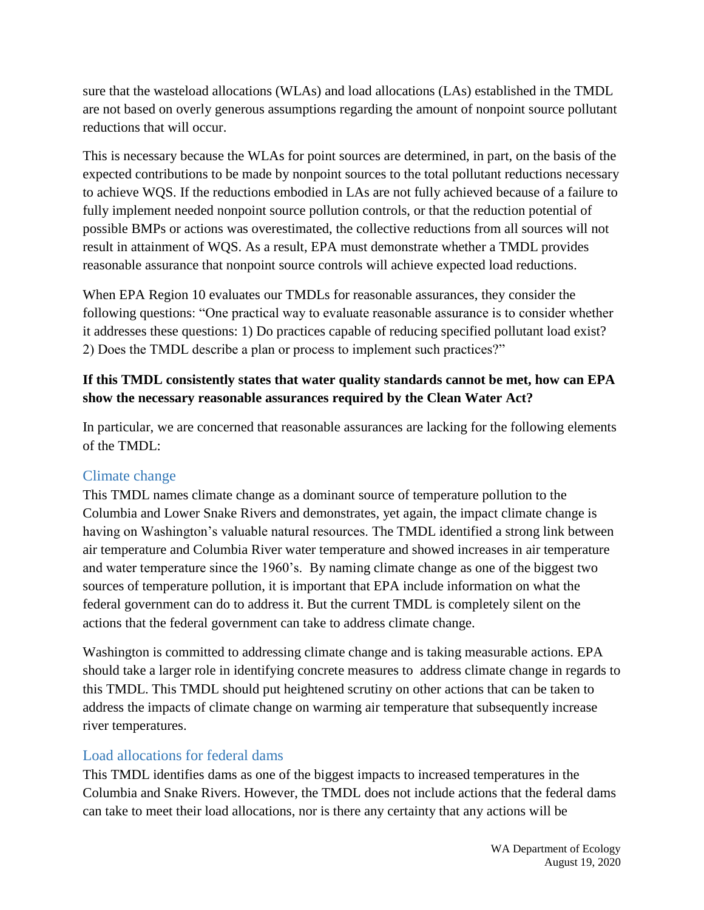sure that the wasteload allocations (WLAs) and load allocations (LAs) established in the TMDL are not based on overly generous assumptions regarding the amount of nonpoint source pollutant reductions that will occur.

This is necessary because the WLAs for point sources are determined, in part, on the basis of the expected contributions to be made by nonpoint sources to the total pollutant reductions necessary to achieve WQS. If the reductions embodied in LAs are not fully achieved because of a failure to fully implement needed nonpoint source pollution controls, or that the reduction potential of possible BMPs or actions was overestimated, the collective reductions from all sources will not result in attainment of WQS. As a result, EPA must demonstrate whether a TMDL provides reasonable assurance that nonpoint source controls will achieve expected load reductions.

When EPA Region 10 evaluates our TMDLs for reasonable assurances, they consider the following questions: "One practical way to evaluate reasonable assurance is to consider whether it addresses these questions: 1) Do practices capable of reducing specified pollutant load exist? 2) Does the TMDL describe a plan or process to implement such practices?"

#### **If this TMDL consistently states that water quality standards cannot be met, how can EPA show the necessary reasonable assurances required by the Clean Water Act?**

In particular, we are concerned that reasonable assurances are lacking for the following elements of the TMDL:

#### Climate change

This TMDL names climate change as a dominant source of temperature pollution to the Columbia and Lower Snake Rivers and demonstrates, yet again, the impact climate change is having on Washington's valuable natural resources. The TMDL identified a strong link between air temperature and Columbia River water temperature and showed increases in air temperature and water temperature since the 1960's. By naming climate change as one of the biggest two sources of temperature pollution, it is important that EPA include information on what the federal government can do to address it. But the current TMDL is completely silent on the actions that the federal government can take to address climate change.

Washington is committed to addressing climate change and is taking measurable actions. EPA should take a larger role in identifying concrete measures to address climate change in regards to this TMDL. This TMDL should put heightened scrutiny on other actions that can be taken to address the impacts of climate change on warming air temperature that subsequently increase river temperatures.

#### Load allocations for federal dams

This TMDL identifies dams as one of the biggest impacts to increased temperatures in the Columbia and Snake Rivers. However, the TMDL does not include actions that the federal dams can take to meet their load allocations, nor is there any certainty that any actions will be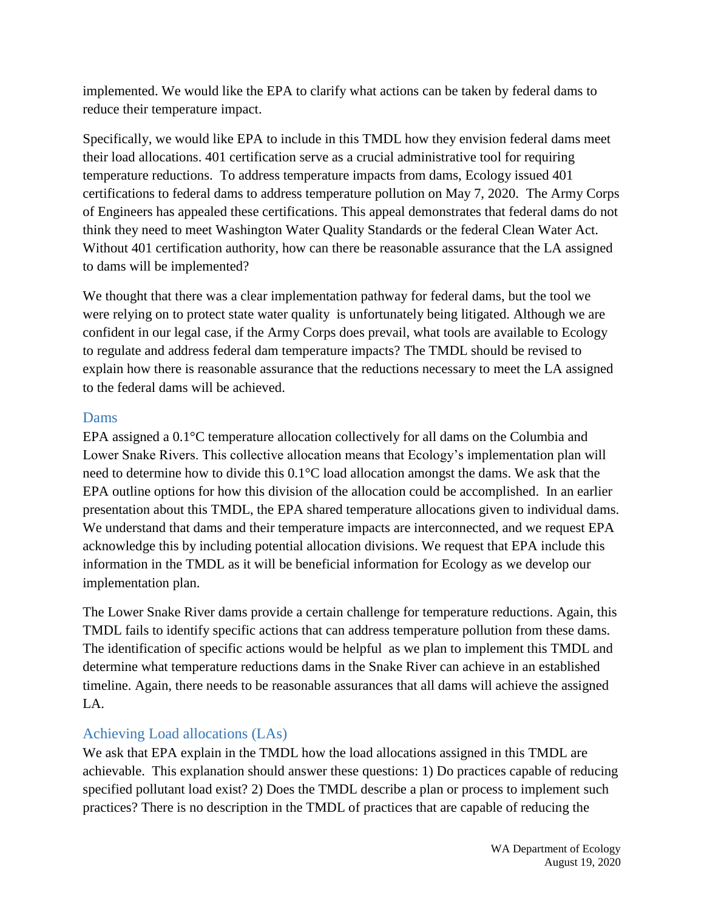implemented. We would like the EPA to clarify what actions can be taken by federal dams to reduce their temperature impact.

Specifically, we would like EPA to include in this TMDL how they envision federal dams meet their load allocations. 401 certification serve as a crucial administrative tool for requiring temperature reductions. To address temperature impacts from dams, Ecology issued 401 certifications to federal dams to address temperature pollution on May 7, 2020. The Army Corps of Engineers has appealed these certifications. This appeal demonstrates that federal dams do not think they need to meet Washington Water Quality Standards or the federal Clean Water Act. Without 401 certification authority, how can there be reasonable assurance that the LA assigned to dams will be implemented?

We thought that there was a clear implementation pathway for federal dams, but the tool we were relying on to protect state water quality is unfortunately being litigated. Although we are confident in our legal case, if the Army Corps does prevail, what tools are available to Ecology to regulate and address federal dam temperature impacts? The TMDL should be revised to explain how there is reasonable assurance that the reductions necessary to meet the LA assigned to the federal dams will be achieved.

#### Dams

EPA assigned a 0.1°C temperature allocation collectively for all dams on the Columbia and Lower Snake Rivers. This collective allocation means that Ecology's implementation plan will need to determine how to divide this 0.1°C load allocation amongst the dams. We ask that the EPA outline options for how this division of the allocation could be accomplished. In an earlier presentation about this TMDL, the EPA shared temperature allocations given to individual dams. We understand that dams and their temperature impacts are interconnected, and we request EPA acknowledge this by including potential allocation divisions. We request that EPA include this information in the TMDL as it will be beneficial information for Ecology as we develop our implementation plan.

The Lower Snake River dams provide a certain challenge for temperature reductions. Again, this TMDL fails to identify specific actions that can address temperature pollution from these dams. The identification of specific actions would be helpful as we plan to implement this TMDL and determine what temperature reductions dams in the Snake River can achieve in an established timeline. Again, there needs to be reasonable assurances that all dams will achieve the assigned LA.

#### Achieving Load allocations (LAs)

We ask that EPA explain in the TMDL how the load allocations assigned in this TMDL are achievable. This explanation should answer these questions: 1) Do practices capable of reducing specified pollutant load exist? 2) Does the TMDL describe a plan or process to implement such practices? There is no description in the TMDL of practices that are capable of reducing the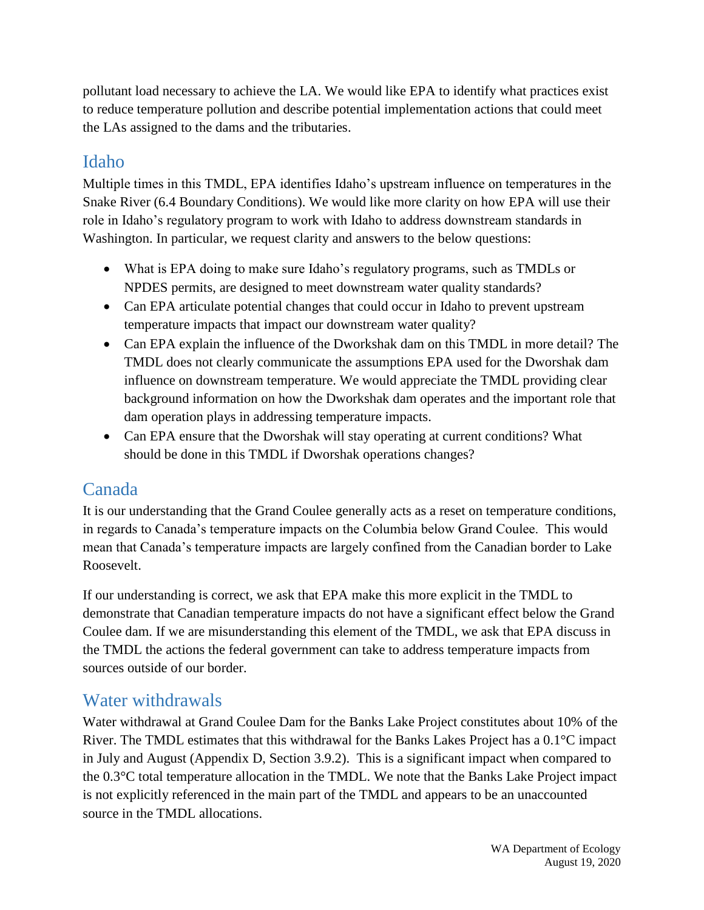pollutant load necessary to achieve the LA. We would like EPA to identify what practices exist to reduce temperature pollution and describe potential implementation actions that could meet the LAs assigned to the dams and the tributaries.

### Idaho

Multiple times in this TMDL, EPA identifies Idaho's upstream influence on temperatures in the Snake River (6.4 Boundary Conditions). We would like more clarity on how EPA will use their role in Idaho's regulatory program to work with Idaho to address downstream standards in Washington. In particular, we request clarity and answers to the below questions:

- What is EPA doing to make sure Idaho's regulatory programs, such as TMDLs or NPDES permits, are designed to meet downstream water quality standards?
- Can EPA articulate potential changes that could occur in Idaho to prevent upstream temperature impacts that impact our downstream water quality?
- Can EPA explain the influence of the Dworkshak dam on this TMDL in more detail? The TMDL does not clearly communicate the assumptions EPA used for the Dworshak dam influence on downstream temperature. We would appreciate the TMDL providing clear background information on how the Dworkshak dam operates and the important role that dam operation plays in addressing temperature impacts.
- Can EPA ensure that the Dworshak will stay operating at current conditions? What should be done in this TMDL if Dworshak operations changes?

### Canada

It is our understanding that the Grand Coulee generally acts as a reset on temperature conditions, in regards to Canada's temperature impacts on the Columbia below Grand Coulee. This would mean that Canada's temperature impacts are largely confined from the Canadian border to Lake Roosevelt.

If our understanding is correct, we ask that EPA make this more explicit in the TMDL to demonstrate that Canadian temperature impacts do not have a significant effect below the Grand Coulee dam. If we are misunderstanding this element of the TMDL, we ask that EPA discuss in the TMDL the actions the federal government can take to address temperature impacts from sources outside of our border.

### Water withdrawals

Water withdrawal at Grand Coulee Dam for the Banks Lake Project constitutes about 10% of the River. The TMDL estimates that this withdrawal for the Banks Lakes Project has a  $0.1^{\circ}$ C impact in July and August (Appendix D, Section 3.9.2). This is a significant impact when compared to the 0.3°C total temperature allocation in the TMDL. We note that the Banks Lake Project impact is not explicitly referenced in the main part of the TMDL and appears to be an unaccounted source in the TMDL allocations.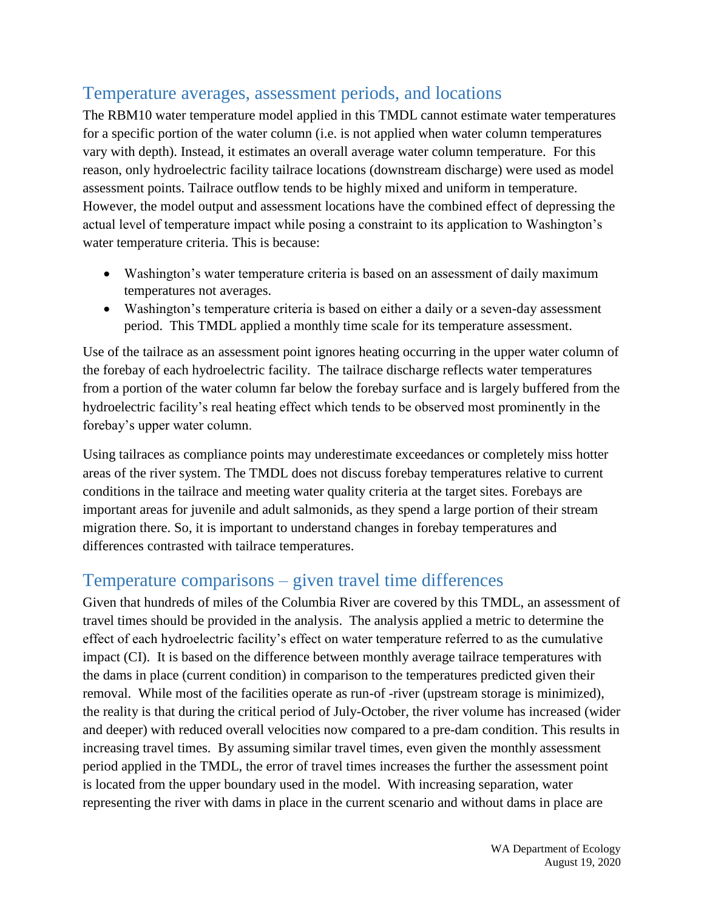## Temperature averages, assessment periods, and locations

The RBM10 water temperature model applied in this TMDL cannot estimate water temperatures for a specific portion of the water column (i.e. is not applied when water column temperatures vary with depth). Instead, it estimates an overall average water column temperature. For this reason, only hydroelectric facility tailrace locations (downstream discharge) were used as model assessment points. Tailrace outflow tends to be highly mixed and uniform in temperature. However, the model output and assessment locations have the combined effect of depressing the actual level of temperature impact while posing a constraint to its application to Washington's water temperature criteria. This is because:

- Washington's water temperature criteria is based on an assessment of daily maximum temperatures not averages.
- Washington's temperature criteria is based on either a daily or a seven-day assessment period. This TMDL applied a monthly time scale for its temperature assessment.

Use of the tailrace as an assessment point ignores heating occurring in the upper water column of the forebay of each hydroelectric facility. The tailrace discharge reflects water temperatures from a portion of the water column far below the forebay surface and is largely buffered from the hydroelectric facility's real heating effect which tends to be observed most prominently in the forebay's upper water column.

Using tailraces as compliance points may underestimate exceedances or completely miss hotter areas of the river system. The TMDL does not discuss forebay temperatures relative to current conditions in the tailrace and meeting water quality criteria at the target sites. Forebays are important areas for juvenile and adult salmonids, as they spend a large portion of their stream migration there. So, it is important to understand changes in forebay temperatures and differences contrasted with tailrace temperatures.

### Temperature comparisons – given travel time differences

Given that hundreds of miles of the Columbia River are covered by this TMDL, an assessment of travel times should be provided in the analysis. The analysis applied a metric to determine the effect of each hydroelectric facility's effect on water temperature referred to as the cumulative impact (CI). It is based on the difference between monthly average tailrace temperatures with the dams in place (current condition) in comparison to the temperatures predicted given their removal. While most of the facilities operate as run-of -river (upstream storage is minimized), the reality is that during the critical period of July-October, the river volume has increased (wider and deeper) with reduced overall velocities now compared to a pre-dam condition. This results in increasing travel times. By assuming similar travel times, even given the monthly assessment period applied in the TMDL, the error of travel times increases the further the assessment point is located from the upper boundary used in the model. With increasing separation, water representing the river with dams in place in the current scenario and without dams in place are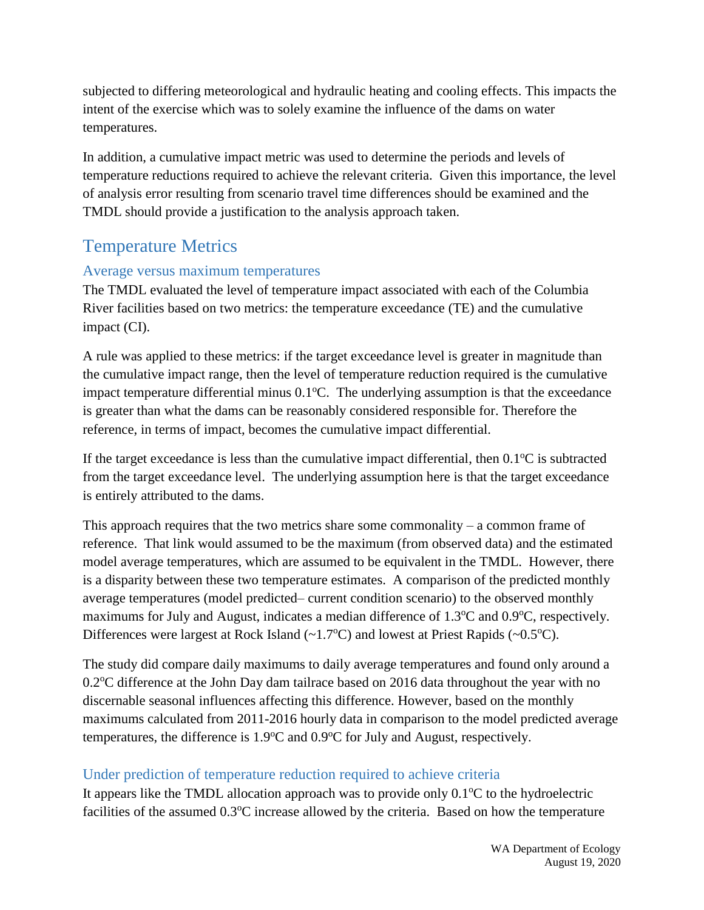subjected to differing meteorological and hydraulic heating and cooling effects. This impacts the intent of the exercise which was to solely examine the influence of the dams on water temperatures.

In addition, a cumulative impact metric was used to determine the periods and levels of temperature reductions required to achieve the relevant criteria. Given this importance, the level of analysis error resulting from scenario travel time differences should be examined and the TMDL should provide a justification to the analysis approach taken.

### Temperature Metrics

#### Average versus maximum temperatures

The TMDL evaluated the level of temperature impact associated with each of the Columbia River facilities based on two metrics: the temperature exceedance (TE) and the cumulative impact (CI).

A rule was applied to these metrics: if the target exceedance level is greater in magnitude than the cumulative impact range, then the level of temperature reduction required is the cumulative impact temperature differential minus  $0.1^{\circ}$ C. The underlying assumption is that the exceedance is greater than what the dams can be reasonably considered responsible for. Therefore the reference, in terms of impact, becomes the cumulative impact differential.

If the target exceedance is less than the cumulative impact differential, then  $0.1^{\circ}$ C is subtracted from the target exceedance level. The underlying assumption here is that the target exceedance is entirely attributed to the dams.

This approach requires that the two metrics share some commonality – a common frame of reference. That link would assumed to be the maximum (from observed data) and the estimated model average temperatures, which are assumed to be equivalent in the TMDL. However, there is a disparity between these two temperature estimates. A comparison of the predicted monthly average temperatures (model predicted– current condition scenario) to the observed monthly maximums for July and August, indicates a median difference of  $1.3^{\circ}$ C and  $0.9^{\circ}$ C, respectively. Differences were largest at Rock Island  $(\sim 1.7^{\circ}C)$  and lowest at Priest Rapids  $(\sim 0.5^{\circ}C)$ .

The study did compare daily maximums to daily average temperatures and found only around a  $0.2^{\circ}$ C difference at the John Day dam tailrace based on 2016 data throughout the year with no discernable seasonal influences affecting this difference. However, based on the monthly maximums calculated from 2011-2016 hourly data in comparison to the model predicted average temperatures, the difference is  $1.9^{\circ}$ C and  $0.9^{\circ}$ C for July and August, respectively.

#### Under prediction of temperature reduction required to achieve criteria

It appears like the TMDL allocation approach was to provide only  $0.1^{\circ}C$  to the hydroelectric facilities of the assumed 0.3<sup>o</sup>C increase allowed by the criteria. Based on how the temperature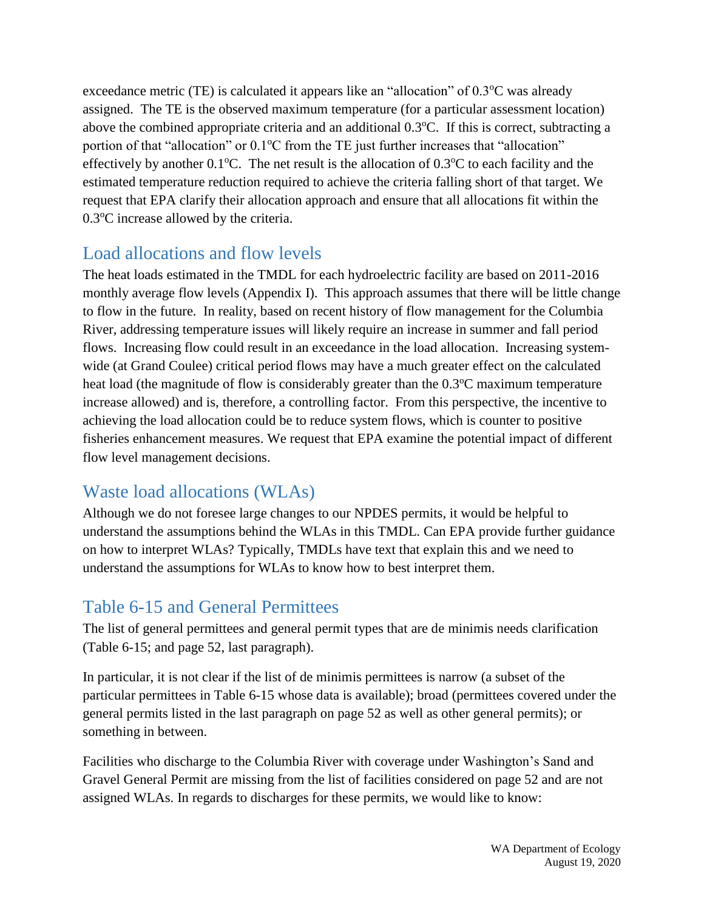exceedance metric (TE) is calculated it appears like an "allocation" of  $0.3^{\circ}$ C was already assigned. The TE is the observed maximum temperature (for a particular assessment location) above the combined appropriate criteria and an additional  $0.3^{\circ}$ C. If this is correct, subtracting a portion of that "allocation" or  $0.1^{\circ}$ C from the TE just further increases that "allocation" effectively by another  $0.1^{\circ}$ C. The net result is the allocation of  $0.3^{\circ}$ C to each facility and the estimated temperature reduction required to achieve the criteria falling short of that target. We request that EPA clarify their allocation approach and ensure that all allocations fit within the  $0.3^{\circ}$ C increase allowed by the criteria.

### Load allocations and flow levels

The heat loads estimated in the TMDL for each hydroelectric facility are based on 2011-2016 monthly average flow levels (Appendix I). This approach assumes that there will be little change to flow in the future. In reality, based on recent history of flow management for the Columbia River, addressing temperature issues will likely require an increase in summer and fall period flows. Increasing flow could result in an exceedance in the load allocation. Increasing systemwide (at Grand Coulee) critical period flows may have a much greater effect on the calculated heat load (the magnitude of flow is considerably greater than the  $0.3^{\circ}$ C maximum temperature increase allowed) and is, therefore, a controlling factor. From this perspective, the incentive to achieving the load allocation could be to reduce system flows, which is counter to positive fisheries enhancement measures. We request that EPA examine the potential impact of different flow level management decisions.

### Waste load allocations (WLAs)

Although we do not foresee large changes to our NPDES permits, it would be helpful to understand the assumptions behind the WLAs in this TMDL. Can EPA provide further guidance on how to interpret WLAs? Typically, TMDLs have text that explain this and we need to understand the assumptions for WLAs to know how to best interpret them.

## Table 6-15 and General Permittees

The list of general permittees and general permit types that are de minimis needs clarification (Table 6-15; and page 52, last paragraph).

In particular, it is not clear if the list of de minimis permittees is narrow (a subset of the particular permittees in Table 6-15 whose data is available); broad (permittees covered under the general permits listed in the last paragraph on page 52 as well as other general permits); or something in between.

Facilities who discharge to the Columbia River with coverage under Washington's Sand and Gravel General Permit are missing from the list of facilities considered on page 52 and are not assigned WLAs. In regards to discharges for these permits, we would like to know: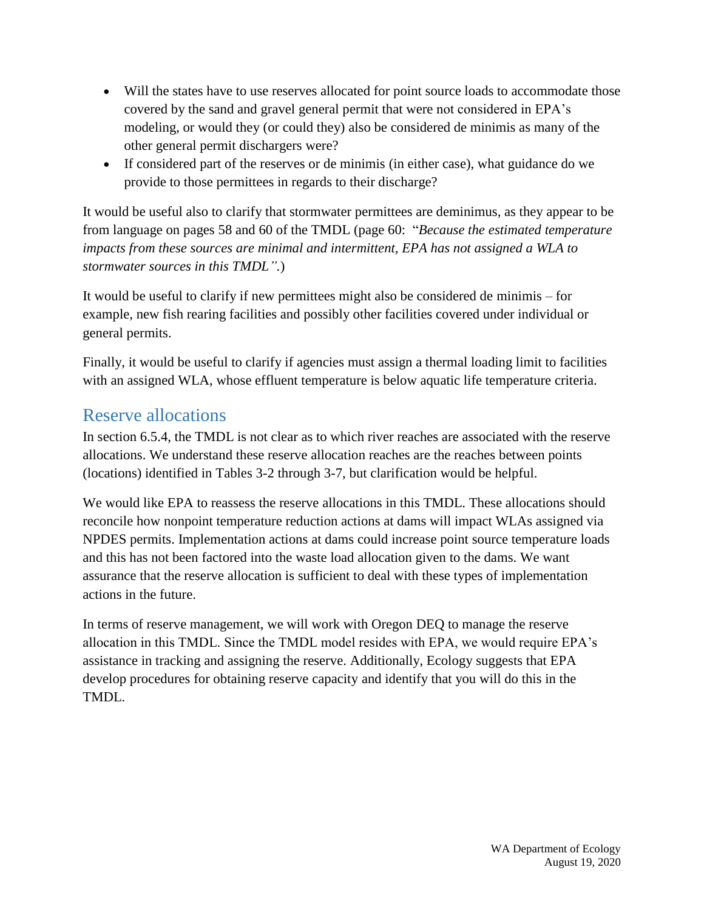- Will the states have to use reserves allocated for point source loads to accommodate those covered by the sand and gravel general permit that were not considered in EPA's modeling, or would they (or could they) also be considered de minimis as many of the other general permit dischargers were?
- If considered part of the reserves or de minimis (in either case), what guidance do we provide to those permittees in regards to their discharge?

It would be useful also to clarify that stormwater permittees are deminimus, as they appear to be from language on pages 58 and 60 of the TMDL (page 60: "*Because the estimated temperature impacts from these sources are minimal and intermittent, EPA has not assigned a WLA to stormwater sources in this TMDL".*)

It would be useful to clarify if new permittees might also be considered de minimis – for example, new fish rearing facilities and possibly other facilities covered under individual or general permits.

Finally, it would be useful to clarify if agencies must assign a thermal loading limit to facilities with an assigned WLA, whose effluent temperature is below aquatic life temperature criteria.

## Reserve allocations

In section 6.5.4, the TMDL is not clear as to which river reaches are associated with the reserve allocations. We understand these reserve allocation reaches are the reaches between points (locations) identified in Tables 3-2 through 3-7, but clarification would be helpful.

We would like EPA to reassess the reserve allocations in this TMDL. These allocations should reconcile how nonpoint temperature reduction actions at dams will impact WLAs assigned via NPDES permits. Implementation actions at dams could increase point source temperature loads and this has not been factored into the waste load allocation given to the dams. We want assurance that the reserve allocation is sufficient to deal with these types of implementation actions in the future.

In terms of reserve management, we will work with Oregon DEQ to manage the reserve allocation in this TMDL. Since the TMDL model resides with EPA, we would require EPA's assistance in tracking and assigning the reserve. Additionally, Ecology suggests that EPA develop procedures for obtaining reserve capacity and identify that you will do this in the TMDL.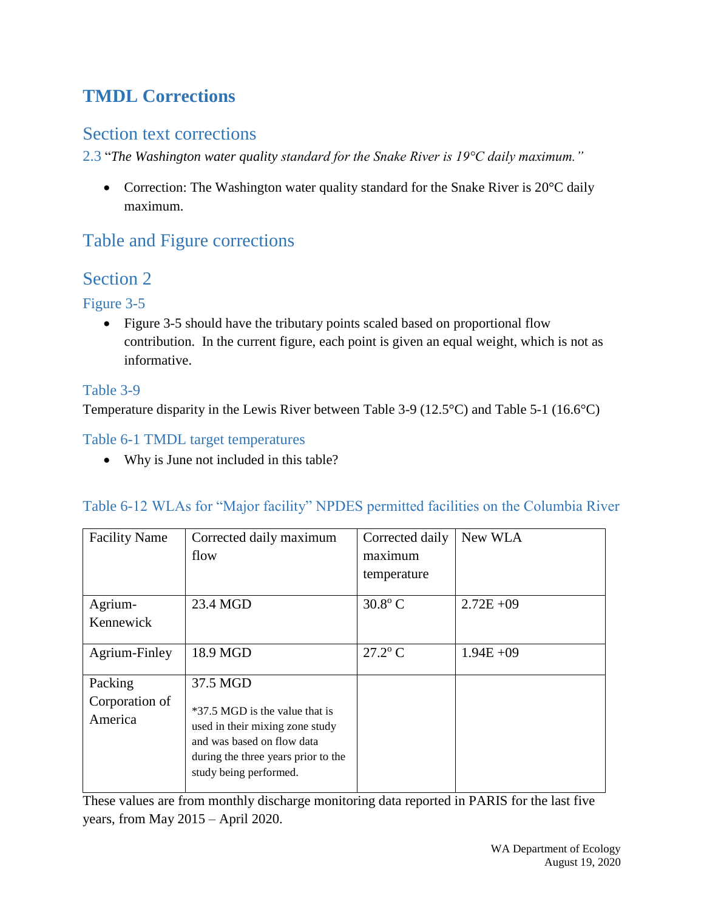# **TMDL Corrections**

### Section text corrections

2.3 "*The Washington water quality standard for the Snake River is 19°C daily maximum."*

• Correction: The Washington water quality standard for the Snake River is 20°C daily maximum.

## Table and Figure corrections

### Section 2

### Figure 3-5

• Figure 3-5 should have the tributary points scaled based on proportional flow contribution. In the current figure, each point is given an equal weight, which is not as informative.

### Table 3-9

Temperature disparity in the Lewis River between Table 3-9 (12.5°C) and Table 5-1 (16.6°C)

### Table 6-1 TMDL target temperatures

• Why is June not included in this table?

#### Table 6-12 WLAs for "Major facility" NPDES permitted facilities on the Columbia River

| <b>Facility Name</b>                 | Corrected daily maximum<br>flow                                                                                                                                              | Corrected daily<br>maximum<br>temperature | New WLA      |
|--------------------------------------|------------------------------------------------------------------------------------------------------------------------------------------------------------------------------|-------------------------------------------|--------------|
| Agrium-<br>Kennewick                 | 23.4 MGD                                                                                                                                                                     | $30.8$ °C                                 | $2.72E + 09$ |
| Agrium-Finley                        | 18.9 MGD                                                                                                                                                                     | $27.2$ <sup>o</sup> C                     | $1.94E + 09$ |
| Packing<br>Corporation of<br>America | 37.5 MGD<br>*37.5 MGD is the value that is<br>used in their mixing zone study<br>and was based on flow data<br>during the three years prior to the<br>study being performed. |                                           |              |

These values are from monthly discharge monitoring data reported in PARIS for the last five years, from May 2015 – April 2020.